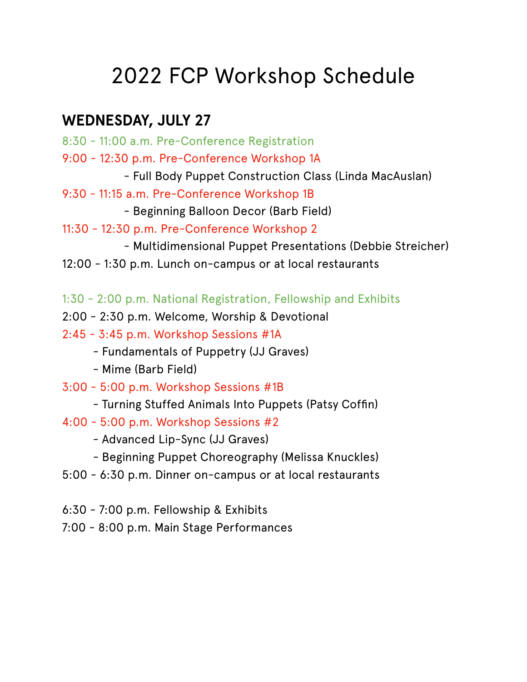# 2022 FCP Workshop Schedule

# **WEDNESDAY, JULY 27**

- 8:30 11:00 a.m. Pre-Conference Registration
- 9:00 12:30 p.m. Pre-Conference Workshop 1A
	- Full Body Puppet Construction Class (Linda MacAuslan)
- 9:30 11:15 a.m. Pre-Conference Workshop 1B
	- Beginning Balloon Decor (Barb Field)
- 11:30 12:30 p.m. Pre-Conference Workshop 2
	- Multidimensional Puppet Presentations (Debbie Streicher)
- 12:00 1:30 p.m. Lunch on-campus or at local restaurants
- 1:30 2:00 p.m. National Registration, Fellowship and Exhibits
- 2:00 2:30 p.m. Welcome, Worship & Devotional
- 2:45 3:45 p.m. Workshop Sessions #1A
	- Fundamentals of Puppetry (JJ Graves)
	- Mime (Barb Field)
- 3:00 5:00 p.m. Workshop Sessions #1B
	- Turning Stuffed Animals Into Puppets (Patsy Coffin)
- 4:00 5:00 p.m. Workshop Sessions #2
	- Advanced Lip-Sync (JJ Graves)
	- Beginning Puppet Choreography (Melissa Knuckles)
- 5:00 6:30 p.m. Dinner on-campus or at local restaurants
- 6:30 7:00 p.m. Fellowship & Exhibits
- 7:00 8:00 p.m. Main Stage Performances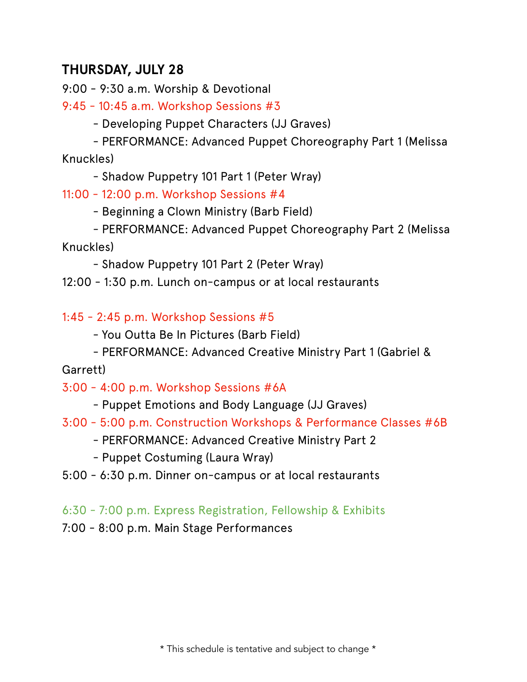## **THURSDAY, JULY 28**

9:00 - 9:30 a.m. Worship & Devotional

9:45 - 10:45 a.m. Workshop Sessions #3

- Developing Puppet Characters (JJ Graves)

- PERFORMANCE: Advanced Puppet Choreography Part 1 (Melissa Knuckles)

- Shadow Puppetry 101 Part 1 (Peter Wray)

11:00 - 12:00 p.m. Workshop Sessions #4

- Beginning a Clown Ministry (Barb Field)

- PERFORMANCE: Advanced Puppet Choreography Part 2 (Melissa Knuckles)

- Shadow Puppetry 101 Part 2 (Peter Wray)

12:00 - 1:30 p.m. Lunch on-campus or at local restaurants

1:45 - 2:45 p.m. Workshop Sessions #5

- You Outta Be In Pictures (Barb Field)

- PERFORMANCE: Advanced Creative Ministry Part 1 (Gabriel &

Garrett)

3:00 - 4:00 p.m. Workshop Sessions #6A

- Puppet Emotions and Body Language (JJ Graves)
- 3:00 5:00 p.m. Construction Workshops & Performance Classes #6B
	- PERFORMANCE: Advanced Creative Ministry Part 2
	- Puppet Costuming (Laura Wray)
- 5:00 6:30 p.m. Dinner on-campus or at local restaurants

#### 6:30 - 7:00 p.m. Express Registration, Fellowship & Exhibits

7:00 - 8:00 p.m. Main Stage Performances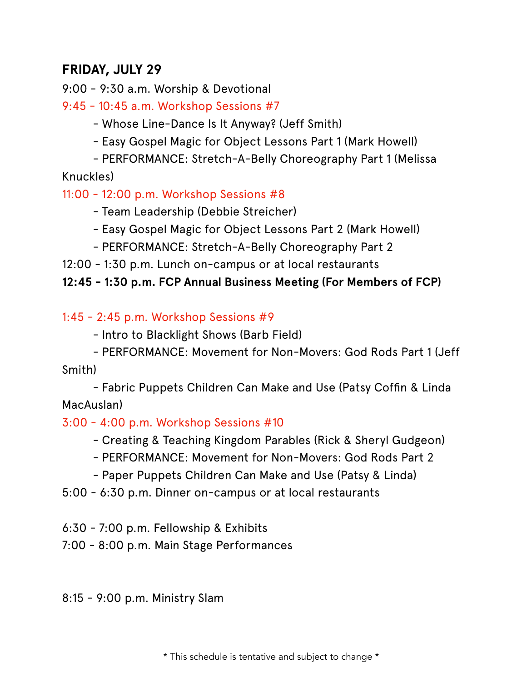### **FRIDAY, JULY 29**

9:00 - 9:30 a.m. Worship & Devotional

9:45 - 10:45 a.m. Workshop Sessions #7

- Whose Line-Dance Is It Anyway? (Jeff Smith)

- Easy Gospel Magic for Object Lessons Part 1 (Mark Howell)

- PERFORMANCE: Stretch-A-Belly Choreography Part 1 (Melissa Knuckles)

11:00 - 12:00 p.m. Workshop Sessions #8

- Team Leadership (Debbie Streicher)

- Easy Gospel Magic for Object Lessons Part 2 (Mark Howell)

- PERFORMANCE: Stretch-A-Belly Choreography Part 2

12:00 - 1:30 p.m. Lunch on-campus or at local restaurants

#### **12:45 - 1:30 p.m. FCP Annual Business Meeting (For Members of FCP)**

#### 1:45 - 2:45 p.m. Workshop Sessions #9

- Intro to Blacklight Shows (Barb Field)

- PERFORMANCE: Movement for Non-Movers: God Rods Part 1 (Jeff Smith)

- Fabric Puppets Children Can Make and Use (Patsy Coffin & Linda MacAuslan)

#### 3:00 - 4:00 p.m. Workshop Sessions #10

- Creating & Teaching Kingdom Parables (Rick & Sheryl Gudgeon)

- PERFORMANCE: Movement for Non-Movers: God Rods Part 2

- Paper Puppets Children Can Make and Use (Patsy & Linda)

5:00 - 6:30 p.m. Dinner on-campus or at local restaurants

6:30 - 7:00 p.m. Fellowship & Exhibits

7:00 - 8:00 p.m. Main Stage Performances

8:15 - 9:00 p.m. Ministry Slam